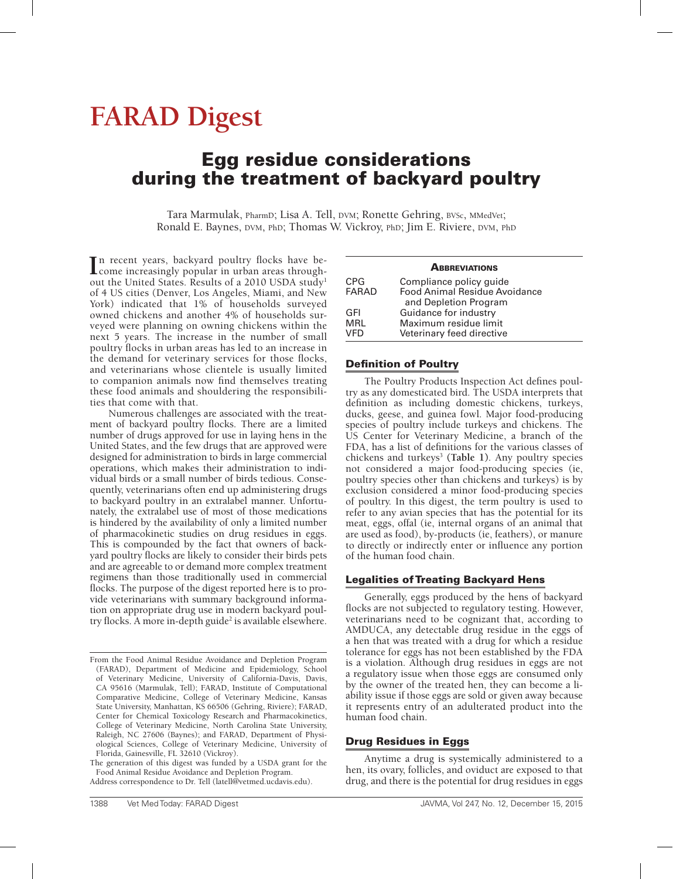# **FARAD Digest**

# Egg residue considerations during the treatment of backyard poultry

Tara Marmulak, PharmD; Lisa A. Tell, DVM; Ronette Gehring, BVSc, MMedVet; Ronald E. Baynes, DVM, PhD; Thomas W. Vickroy, PhD; Jim E. Riviere, DVM, Ph<sup>D</sup>

In recent years, backyard poultry flocks have be-<br>
come increasingly popular in urban areas throughn recent years, backyard poultry flocks have beout the United States. Results of a 2010 USDA study<sup>1</sup> of 4 US cities (Denver, Los Angeles, Miami, and New York) indicated that 1% of households surveyed owned chickens and another 4% of households surveyed were planning on owning chickens within the next 5 years. The increase in the number of small poultry flocks in urban areas has led to an increase in the demand for veterinary services for those flocks, and veterinarians whose clientele is usually limited to companion animals now find themselves treating these food animals and shouldering the responsibilities that come with that.

Numerous challenges are associated with the treatment of backyard poultry flocks. There are a limited number of drugs approved for use in laying hens in the United States, and the few drugs that are approved were designed for administration to birds in large commercial operations, which makes their administration to individual birds or a small number of birds tedious. Consequently, veterinarians often end up administering drugs to backyard poultry in an extralabel manner. Unfortunately, the extralabel use of most of those medications is hindered by the availability of only a limited number of pharmacokinetic studies on drug residues in eggs. This is compounded by the fact that owners of backyard poultry flocks are likely to consider their birds pets and are agreeable to or demand more complex treatment regimens than those traditionally used in commercial flocks. The purpose of the digest reported here is to provide veterinarians with summary background information on appropriate drug use in modern backyard poultry flocks. A more in-depth guide<sup>2</sup> is available elsewhere.

The generation of this digest was funded by a USDA grant for the Food Animal Residue Avoidance and Depletion Program. Address correspondence to Dr. Tell (latell@vetmed.ucdavis.edu).

| Vet Med Today: FARAD Digest<br>1388 |  |
|-------------------------------------|--|
|                                     |  |

|              | <b>ABBREVIATIONS</b>          |
|--------------|-------------------------------|
| <b>CPG</b>   | Compliance policy quide       |
| <b>FARAD</b> | Food Animal Residue Avoidance |
|              | and Depletion Program         |
| GFI          | Guidance for industry         |
| MRL          | Maximum residue limit         |
| VFD          | Veterinary feed directive     |

#### Definition of Poultry

The Poultry Products Inspection Act defines poultry as any domesticated bird. The USDA interprets that definition as including domestic chickens, turkeys, ducks, geese, and guinea fowl. Major food-producing species of poultry include turkeys and chickens. The US Center for Veterinary Medicine, a branch of the FDA, has a list of definitions for the various classes of chickens and turkeys<sup>3</sup> (Table 1). Any poultry species not considered a major food-producing species (ie, poultry species other than chickens and turkeys) is by exclusion considered a minor food-producing species of poultry. In this digest, the term poultry is used to refer to any avian species that has the potential for its meat, eggs, offal (ie, internal organs of an animal that are used as food), by-products (ie, feathers), or manure to directly or indirectly enter or influence any portion of the human food chain.

#### Legalities of Treating Backyard Hens

Generally, eggs produced by the hens of backyard flocks are not subjected to regulatory testing. However, veterinarians need to be cognizant that, according to AMDUCA, any detectable drug residue in the eggs of a hen that was treated with a drug for which a residue tolerance for eggs has not been established by the FDA is a violation. Although drug residues in eggs are not a regulatory issue when those eggs are consumed only by the owner of the treated hen, they can become a liability issue if those eggs are sold or given away because it represents entry of an adulterated product into the human food chain.

#### Drug Residues in Eggs

Anytime a drug is systemically administered to a hen, its ovary, follicles, and oviduct are exposed to that drug, and there is the potential for drug residues in eggs

From the Food Animal Residue Avoidance and Depletion Program (FARAD), Department of Medicine and Epidemiology, School of Veterinary Medicine, University of California-Davis, Davis, CA 95616 (Marmulak, Tell); FARAD, Institute of Computational Comparative Medicine, College of Veterinary Medicine, Kansas State University, Manhattan, KS 66506 (Gehring, Riviere); FARAD, Center for Chemical Toxicology Research and Pharmacokinetics, College of Veterinary Medicine, North Carolina State University, Raleigh, NC 27606 (Baynes); and FARAD, Department of Physiological Sciences, College of Veterinary Medicine, University of Florida, Gainesville, FL 32610 (Vickroy).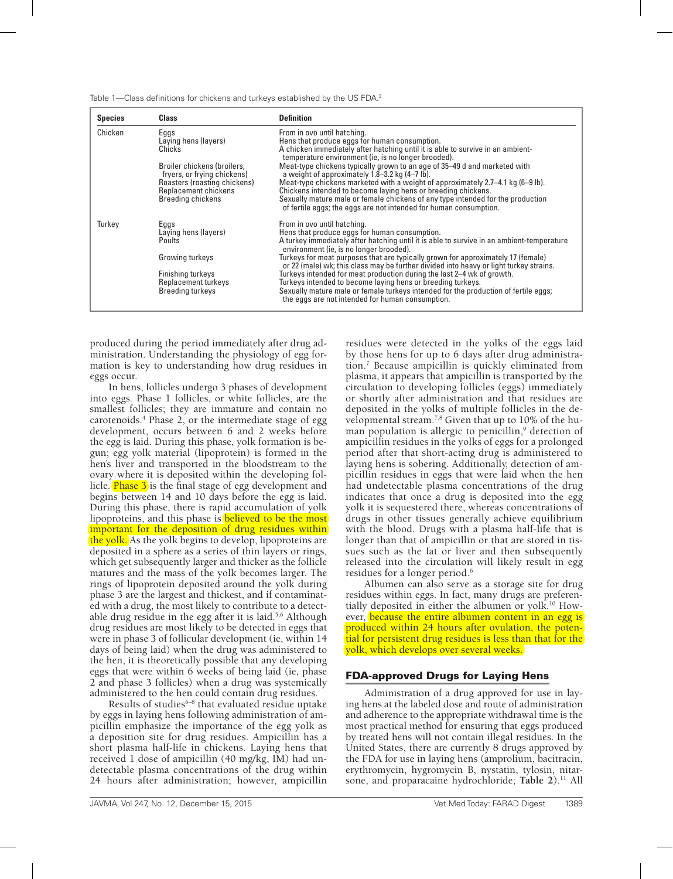Table 1—Class definitions for chickens and turkeys established by the US FDA.3

| <b>Species</b> | <b>Class</b>                                                                                                                            | <b>Definition</b>                                                                                                                                                                                                                                                                                                                                                                                                                                                                                                                                                                                                                                                                      |
|----------------|-----------------------------------------------------------------------------------------------------------------------------------------|----------------------------------------------------------------------------------------------------------------------------------------------------------------------------------------------------------------------------------------------------------------------------------------------------------------------------------------------------------------------------------------------------------------------------------------------------------------------------------------------------------------------------------------------------------------------------------------------------------------------------------------------------------------------------------------|
| Chicken        | Eggs<br>Laying hens (layers)<br>Chicks                                                                                                  | From in ovo until hatching.<br>Hens that produce eggs for human consumption.<br>A chicken immediately after hatching until it is able to survive in an ambient-<br>temperature environment (ie, is no longer brooded).                                                                                                                                                                                                                                                                                                                                                                                                                                                                 |
|                | Broiler chickens (broilers,<br>fryers, or frying chickens)<br>Roasters (roasting chickens)<br>Replacement chickens<br>Breeding chickens | Meat-type chickens typically grown to an age of 35–49 d and marketed with<br>a weight of approximately $1.\overline{8}-3.2$ kg $(4-7)$ lb).<br>Meat-type chickens marketed with a weight of approximately 2.7–4.1 kg $(6-9 \text{ lb})$ .<br>Chickens intended to become laying hens or breeding chickens.<br>Sexually mature male or female chickens of any type intended for the production<br>of fertile eggs; the eggs are not intended for human consumption.                                                                                                                                                                                                                     |
| Turkey         | Eggs<br>Laying hens (layers)<br>Poults<br>Growing turkeys<br>Finishing turkeys<br>Replacement turkeys<br><b>Breeding turkeys</b>        | From in ovo until hatching.<br>Hens that produce eggs for human consumption.<br>A turkey immediately after hatching until it is able to survive in an ambient-temperature<br>environment (ie, is no longer brooded).<br>Turkeys for meat purposes that are typically grown for approximately 17 (female)<br>or 22 (male) wk; this class may be further divided into heavy or light turkey strains.<br>Turkeys intended for meat production during the last 2-4 wk of growth.<br>Turkeys intended to become laying hens or breeding turkeys.<br>Sexually mature male or female turkeys intended for the production of fertile eggs;<br>the eggs are not intended for human consumption. |

produced during the period immediately after drug administration. Understanding the physiology of egg formation is key to understanding how drug residues in eggs occur.

In hens, follicles undergo 3 phases of development into eggs. Phase 1 follicles, or white follicles, are the smallest follicles; they are immature and contain no carotenoids.4 Phase 2, or the intermediate stage of egg development, occurs between 6 and 2 weeks before the egg is laid. During this phase, yolk formation is begun; egg yolk material (lipoprotein) is formed in the hen's liver and transported in the bloodstream to the ovary where it is deposited within the developing follicle. **Phase 3** is the final stage of egg development and begins between 14 and 10 days before the egg is laid. During this phase, there is rapid accumulation of yolk lipoproteins, and this phase is **believed to be the most** important for the deposition of drug residues within the yolk. As the yolk begins to develop, lipoproteins are deposited in a sphere as a series of thin layers or rings, which get subsequently larger and thicker as the follicle matures and the mass of the yolk becomes larger. The rings of lipoprotein deposited around the yolk during phase 3 are the largest and thickest, and if contaminated with a drug, the most likely to contribute to a detectable drug residue in the egg after it is laid.<sup>5,6</sup> Although drug residues are most likely to be detected in eggs that were in phase 3 of follicular development (ie, within 14 days of being laid) when the drug was administered to the hen, it is theoretically possible that any developing eggs that were within 6 weeks of being laid (ie, phase 2 and phase 3 follicles) when a drug was systemically administered to the hen could contain drug residues.

Results of studies<sup>6-8</sup> that evaluated residue uptake by eggs in laying hens following administration of ampicillin emphasize the importance of the egg yolk as a deposition site for drug residues. Ampicillin has a short plasma half-life in chickens. Laying hens that received 1 dose of ampicillin (40 mg/kg, IM) had undetectable plasma concentrations of the drug within 24 hours after administration; however, ampicillin

residues were detected in the yolks of the eggs laid by those hens for up to 6 days after drug administration.7 Because ampicillin is quickly eliminated from plasma, it appears that ampicillin is transported by the circulation to developing follicles (eggs) immediately or shortly after administration and that residues are deposited in the yolks of multiple follicles in the developmental stream.7,8 Given that up to 10% of the human population is allergic to penicillin,<sup>9</sup> detection of ampicillin residues in the yolks of eggs for a prolonged period after that short-acting drug is administered to laying hens is sobering. Additionally, detection of ampicillin residues in eggs that were laid when the hen had undetectable plasma concentrations of the drug indicates that once a drug is deposited into the egg yolk it is sequestered there, whereas concentrations of drugs in other tissues generally achieve equilibrium with the blood. Drugs with a plasma half-life that is longer than that of ampicillin or that are stored in tissues such as the fat or liver and then subsequently released into the circulation will likely result in egg residues for a longer period.<sup>6</sup>

Albumen can also serve as a storage site for drug residues within eggs. In fact, many drugs are preferentially deposited in either the albumen or yolk.<sup>10</sup> However, because the entire albumen content in an egg is produced within 24 hours after ovulation, the potential for persistent drug residues is less than that for the yolk, which develops over several weeks.

# FDA-approved Drugs for Laying Hens

Administration of a drug approved for use in laying hens at the labeled dose and route of administration and adherence to the appropriate withdrawal time is the most practical method for ensuring that eggs produced by treated hens will not contain illegal residues. In the United States, there are currently 8 drugs approved by the FDA for use in laying hens (amprolium, bacitracin, erythromycin, hygromycin B, nystatin, tylosin, nitarsone, and proparacaine hydrochloride; **Table 2**).11 All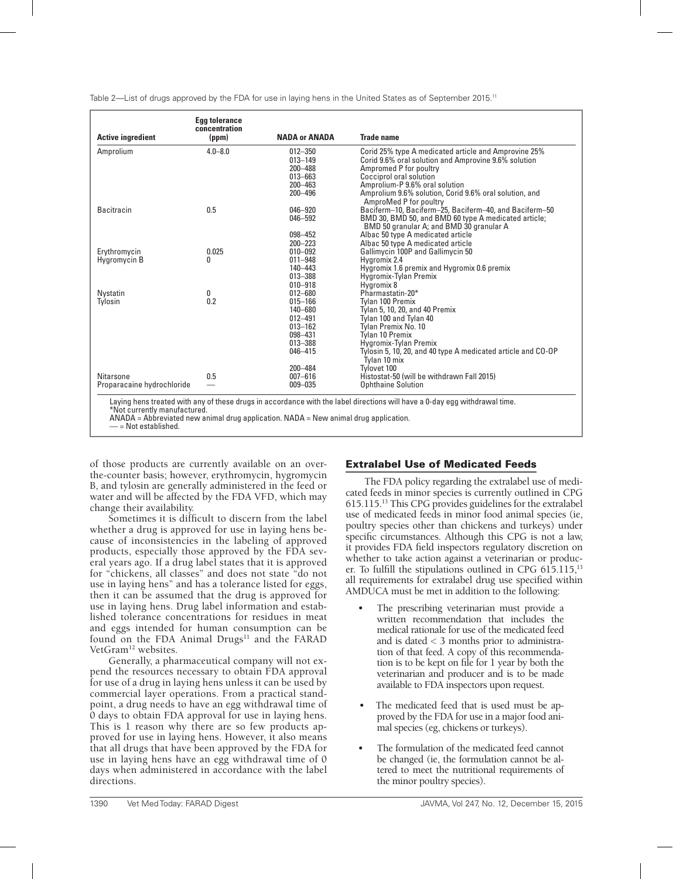Table 2—List of drugs approved by the FDA for use in laying hens in the United States as of September 2015.<sup>11</sup>

|                            | <b>Egg tolerance</b><br>concentration | <b>NADA or ANADA</b> | <b>Trade name</b>                                                                                |
|----------------------------|---------------------------------------|----------------------|--------------------------------------------------------------------------------------------------|
| <b>Active ingredient</b>   | (ppm)                                 |                      |                                                                                                  |
| Amprolium                  | $4.0 - 8.0$                           | $012 - 350$          | Corid 25% type A medicated article and Amprovine 25%                                             |
|                            |                                       | $013 - 149$          | Corid 9.6% oral solution and Amprovine 9.6% solution                                             |
|                            |                                       | 200-488              | Ampromed P for poultry                                                                           |
|                            |                                       | $013 - 663$          | Cocciprol oral solution                                                                          |
|                            |                                       | $200 - 463$          | Amprolium-P 9.6% oral solution                                                                   |
|                            |                                       | $200 - 496$          | Amprolium 9.6% solution, Corid 9.6% oral solution, and<br>AmproMed P for poultry                 |
| <b>Bacitracin</b>          | 0.5                                   | 046-920              | Baciferm-10, Baciferm-25, Baciferm-40, and Baciferm-50                                           |
|                            |                                       | $046 - 592$          | BMD 30, BMD 50, and BMD 60 type A medicated article;<br>BMD 50 granular A; and BMD 30 granular A |
|                            |                                       | 098-452              | Albac 50 type A medicated article                                                                |
|                            |                                       | $200 - 223$          | Albac 50 type A medicated article                                                                |
| Erythromycin               | 0.025                                 | $010 - 092$          | Gallimycin 100P and Gallimycin 50                                                                |
| Hygromycin B               | 0                                     | $011 - 948$          | Hygromix 2.4                                                                                     |
|                            |                                       | 140-443              | Hygromix 1.6 premix and Hygromix 0.6 premix                                                      |
|                            |                                       | 013-388              | Hygromix-Tylan Premix                                                                            |
|                            |                                       | 010-918              | Hygromix 8                                                                                       |
| Nystatin                   | 0                                     | $012 - 680$          | Pharmastatin-20*                                                                                 |
| Tylosin                    | 0.2                                   | $015 - 166$          | Tylan 100 Premix                                                                                 |
|                            |                                       | 140-680              | Tylan 5, 10, 20, and 40 Premix                                                                   |
|                            |                                       | $012 - 491$          | Tylan 100 and Tylan 40                                                                           |
|                            |                                       | $013 - 162$          | Tylan Premix No. 10                                                                              |
|                            |                                       | 098-431              | <b>Tylan 10 Premix</b>                                                                           |
|                            |                                       | 013-388              | Hygromix-Tylan Premix                                                                            |
|                            |                                       | $046 - 415$          | Tylosin 5, 10, 20, and 40 type A medicated article and CO-OP<br>Tylan 10 mix                     |
|                            |                                       | 200-484              | Tylovet 100                                                                                      |
| Nitarsone                  | 0.5                                   | $007 - 616$          | Histostat-50 (will be withdrawn Fall 2015)                                                       |
| Proparacaine hydrochloride |                                       | 009-035              | <b>Ophthaine Solution</b>                                                                        |

ANADA = Abbreviated new animal drug application. NADA = New animal drug application.

 $=$  Not established.

of those products are currently available on an overthe-counter basis; however, erythromycin, hygromycin B, and tylosin are generally administered in the feed or water and will be affected by the FDA VFD, which may change their availability.

Sometimes it is difficult to discern from the label whether a drug is approved for use in laying hens because of inconsistencies in the labeling of approved products, especially those approved by the FDA several years ago. If a drug label states that it is approved for "chickens, all classes" and does not state "do not use in laying hens" and has a tolerance listed for eggs, then it can be assumed that the drug is approved for use in laying hens. Drug label information and established tolerance concentrations for residues in meat and eggs intended for human consumption can be found on the FDA Animal Drugs<sup>11</sup> and the FARAD VetGram<sup>12</sup> websites.

Generally, a pharmaceutical company will not expend the resources necessary to obtain FDA approval for use of a drug in laying hens unless it can be used by commercial layer operations. From a practical standpoint, a drug needs to have an egg withdrawal time of 0 days to obtain FDA approval for use in laying hens. This is 1 reason why there are so few products approved for use in laying hens. However, it also means that all drugs that have been approved by the FDA for use in laying hens have an egg withdrawal time of 0 days when administered in accordance with the label directions.

## Extralabel Use of Medicated Feeds

The FDA policy regarding the extralabel use of medicated feeds in minor species is currently outlined in CPG 615.115.13 This CPG provides guidelines for the extralabel use of medicated feeds in minor food animal species (ie, poultry species other than chickens and turkeys) under specific circumstances. Although this CPG is not a law, it provides FDA field inspectors regulatory discretion on whether to take action against a veterinarian or producer. To fulfill the stipulations outlined in CPG 615.115,<sup>13</sup> all requirements for extralabel drug use specified within AMDUCA must be met in addition to the following:

- The prescribing veterinarian must provide a written recommendation that includes the medical rationale for use of the medicated feed and is dated < 3 months prior to administration of that feed. A copy of this recommendation is to be kept on file for 1 year by both the veterinarian and producer and is to be made available to FDA inspectors upon request.
- The medicated feed that is used must be approved by the FDA for use in a major food animal species (eg, chickens or turkeys).
- The formulation of the medicated feed cannot be changed (ie, the formulation cannot be altered to meet the nutritional requirements of the minor poultry species).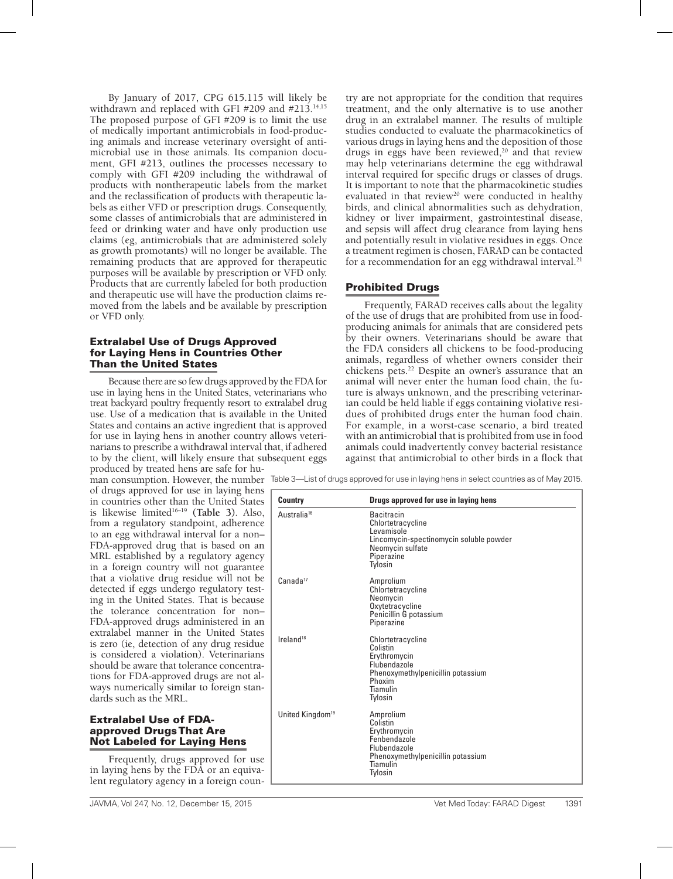By January of 2017, CPG 615.115 will likely be withdrawn and replaced with GFI #209 and #213.14,15 The proposed purpose of GFI #209 is to limit the use of medically important antimicrobials in food-producing animals and increase veterinary oversight of antimicrobial use in those animals. Its companion document, GFI #213, outlines the processes necessary to comply with GFI #209 including the withdrawal of products with nontherapeutic labels from the market and the reclassification of products with therapeutic labels as either VFD or prescription drugs. Consequently, some classes of antimicrobials that are administered in feed or drinking water and have only production use claims (eg, antimicrobials that are administered solely as growth promotants) will no longer be available. The remaining products that are approved for therapeutic purposes will be available by prescription or VFD only. Products that are currently labeled for both production and therapeutic use will have the production claims removed from the labels and be available by prescription or VFD only.

#### Extralabel Use of Drugs Approved for Laying Hens in Countries Other Than the United States

Because there are so few drugs approved by the FDA for use in laying hens in the United States, veterinarians who treat backyard poultry frequently resort to extralabel drug use. Use of a medication that is available in the United States and contains an active ingredient that is approved for use in laying hens in another country allows veterinarians to prescribe a withdrawal interval that, if adhered to by the client, will likely ensure that subsequent eggs

produced by treated hens are safe for huof drugs approved for use in laying hens in countries other than the United States is likewise limited16–19 **(Table 3)**. Also, from a regulatory standpoint, adherence to an egg withdrawal interval for a non– FDA-approved drug that is based on an MRL established by a regulatory agency in a foreign country will not guarantee that a violative drug residue will not be detected if eggs undergo regulatory testing in the United States. That is because the tolerance concentration for non– FDA-approved drugs administered in an extralabel manner in the United States is zero (ie, detection of any drug residue is considered a violation). Veterinarians should be aware that tolerance concentrations for FDA-approved drugs are not always numerically similar to foreign standards such as the MRL.

#### Extralabel Use of FDAapproved Drugs That Are Not Labeled for Laying Hens

Frequently, drugs approved for use in laying hens by the FDA or an equivalent regulatory agency in a foreign country are not appropriate for the condition that requires treatment, and the only alternative is to use another drug in an extralabel manner. The results of multiple studies conducted to evaluate the pharmacokinetics of various drugs in laying hens and the deposition of those drugs in eggs have been reviewed,<sup>20</sup> and that review may help veterinarians determine the egg withdrawal interval required for specific drugs or classes of drugs. It is important to note that the pharmacokinetic studies evaluated in that review<sup>20</sup> were conducted in healthy birds, and clinical abnormalities such as dehydration, kidney or liver impairment, gastrointestinal disease, and sepsis will affect drug clearance from laying hens and potentially result in violative residues in eggs. Once a treatment regimen is chosen, FARAD can be contacted for a recommendation for an egg withdrawal interval.<sup>21</sup>

### Prohibited Drugs

Frequently, FARAD receives calls about the legality of the use of drugs that are prohibited from use in foodproducing animals for animals that are considered pets by their owners. Veterinarians should be aware that the FDA considers all chickens to be food-producing animals, regardless of whether owners consider their chickens pets.<sup>22</sup> Despite an owner's assurance that an animal will never enter the human food chain, the future is always unknown, and the prescribing veterinarian could be held liable if eggs containing violative residues of prohibited drugs enter the human food chain. For example, in a worst-case scenario, a bird treated with an antimicrobial that is prohibited from use in food animals could inadvertently convey bacterial resistance against that antimicrobial to other birds in a flock that

man consumption. However, the number Table 3—List of drugs approved for use in laying hens in select countries as of May 2015.

| <b>Country</b>               | Drugs approved for use in laying hens                                                                                                        |
|------------------------------|----------------------------------------------------------------------------------------------------------------------------------------------|
| Australia <sup>16</sup>      | <b>Bacitracin</b><br>Chlortetracycline<br>Levamisole<br>Lincomycin-spectinomycin soluble powder<br>Neomycin sulfate<br>Piperazine<br>Tylosin |
| $C$ anada <sup>17</sup>      | Amprolium<br>Chlortetracycline<br>Neomycin<br>Oxytetracycline<br>Penicillin G potassium<br>Piperazine                                        |
| Ireland <sup>18</sup>        | Chlortetracycline<br>Colistin<br>Erythromycin<br>Flubendazole<br>Phenoxymethylpenicillin potassium<br>Phoxim<br>Tiamulin<br>Tylosin          |
| United Kingdom <sup>19</sup> | Amprolium<br>Colistin<br>Erythromycin<br>Fenbendazole<br>Flubendazole<br>Phenoxymethylpenicillin potassium<br>Tiamulin<br>Tylosin            |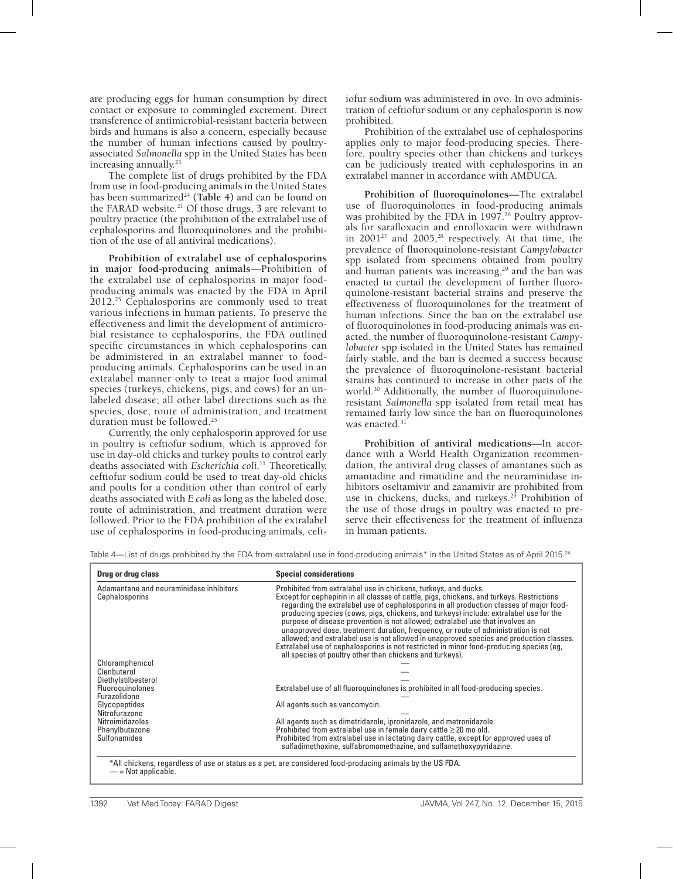are producing eggs for human consumption by direct contact or exposure to commingled excrement. Direct transference of antimicrobial-resistant bacteria between birds and humans is also a concern, especially because the number of human infections caused by poultryassociated *Salmonella* spp in the United States has been increasing annually. $23$ 

The complete list of drugs prohibited by the FDA from use in food-producing animals in the United States has been summarized<sup>24</sup> (Table 4) and can be found on the FARAD website.<sup>21</sup> Of those drugs, 3 are relevant to poultry practice (the prohibition of the extralabel use of cephalosporins and fluoroquinolones and the prohibition of the use of all antiviral medications).

**Prohibition of extralabel use of cephalosporins in major food-producing animals**—Prohibition of the extralabel use of cephalosporins in major foodproducing animals was enacted by the FDA in April  $2012.^{25}$  Cephalosporins are commonly used to treat various infections in human patients. To preserve the effectiveness and limit the development of antimicrobial resistance to cephalosporins, the FDA outlined specific circumstances in which cephalosporins can be administered in an extralabel manner to foodproducing animals. Cephalosporins can be used in an extralabel manner only to treat a major food animal species (turkeys, chickens, pigs, and cows) for an unlabeled disease; all other label directions such as the species, dose, route of administration, and treatment duration must be followed.25

Currently, the only cephalosporin approved for use in poultry is ceftiofur sodium, which is approved for use in day-old chicks and turkey poults to control early deaths associated with *Escherichia coli*. 11 Theoretically, ceftiofur sodium could be used to treat day-old chicks and poults for a condition other than control of early deaths associated with *E coli* as long as the labeled dose, route of administration, and treatment duration were followed. Prior to the FDA prohibition of the extralabel use of cephalosporins in food-producing animals, ceftiofur sodium was administered in ovo. In ovo administration of ceftiofur sodium or any cephalosporin is now prohibited.

Prohibition of the extralabel use of cephalosporins applies only to major food-producing species. Therefore, poultry species other than chickens and turkeys can be judiciously treated with cephalosporins in an extralabel manner in accordance with AMDUCA.

**Prohibition of fluoroquinolones**—The extralabel use of fluoroquinolones in food-producing animals was prohibited by the FDA in 1997.<sup>26</sup> Poultry approvals for sarafloxacin and enrofloxacin were withdrawn in  $2001^{27}$  and  $2005$ ,<sup>28</sup> respectively. At that time, the prevalence of fluoroquinolone-resistant *Campylobacter* spp isolated from specimens obtained from poultry and human patients was increasing,<sup>29</sup> and the ban was enacted to curtail the development of further fluoroquinolone-resistant bacterial strains and preserve the effectiveness of fluoroquinolones for the treatment of human infections. Since the ban on the extralabel use of fluoroquinolones in food-producing animals was enacted, the number of fluoroquinolone-resistant *Campylobacter* spp isolated in the United States has remained fairly stable, and the ban is deemed a success because the prevalence of fluoroquinolone-resistant bacterial strains has continued to increase in other parts of the world.30 Additionally, the number of fluoroquinoloneresistant *Salmonella* spp isolated from retail meat has remained fairly low since the ban on fluoroquinolones was enacted.<sup>31</sup>

**Prohibition of antiviral medications**—In accordance with a World Health Organization recommendation, the antiviral drug classes of amantanes such as amantadine and rimatidine and the neuraminidase inhibitors oseltamivir and zanamivir are prohibited from use in chickens, ducks, and turkeys.<sup>24</sup> Prohibition of the use of those drugs in poultry was enacted to preserve their effectiveness for the treatment of influenza in human patients.

| Drug or drug class                                                                           | <b>Special considerations</b>                                                                                                                                                                                                                                                                                                                                                                                                                                                                                                                                                                                                                                                                                                                                             |  |
|----------------------------------------------------------------------------------------------|---------------------------------------------------------------------------------------------------------------------------------------------------------------------------------------------------------------------------------------------------------------------------------------------------------------------------------------------------------------------------------------------------------------------------------------------------------------------------------------------------------------------------------------------------------------------------------------------------------------------------------------------------------------------------------------------------------------------------------------------------------------------------|--|
| Adamantane and neuraminidase inhibitors<br>Cephalosporins                                    | Prohibited from extralabel use in chickens, turkeys, and ducks.<br>Except for cephapirin in all classes of cattle, pigs, chickens, and turkeys. Restrictions<br>regarding the extralabel use of cephalosporins in all production classes of major food-<br>producing species (cows, pigs, chickens, and turkeys) include: extralabel use for the<br>purpose of disease prevention is not allowed; extralabel use that involves an<br>unapproved dose, treatment duration, frequency, or route of administration is not<br>allowed; and extralabel use is not allowed in unapproved species and production classes.<br>Extralabel use of cephalosporins is not restricted in minor food-producing species (eg,<br>all species of poultry other than chickens and turkeys). |  |
| Chloramphenicol                                                                              |                                                                                                                                                                                                                                                                                                                                                                                                                                                                                                                                                                                                                                                                                                                                                                           |  |
| Clenbuterol                                                                                  |                                                                                                                                                                                                                                                                                                                                                                                                                                                                                                                                                                                                                                                                                                                                                                           |  |
| Diethylstilbesterol                                                                          |                                                                                                                                                                                                                                                                                                                                                                                                                                                                                                                                                                                                                                                                                                                                                                           |  |
| Fluoroguinolones<br>Furazolidone                                                             | Extralabel use of all fluoroquinolones is prohibited in all food-producing species.                                                                                                                                                                                                                                                                                                                                                                                                                                                                                                                                                                                                                                                                                       |  |
| Glycopeptides                                                                                | All agents such as vancomycin.                                                                                                                                                                                                                                                                                                                                                                                                                                                                                                                                                                                                                                                                                                                                            |  |
| Nitrofurazone                                                                                |                                                                                                                                                                                                                                                                                                                                                                                                                                                                                                                                                                                                                                                                                                                                                                           |  |
| <b>Nitroimidazoles</b><br>All agents such as dimetridazole, ipronidazole, and metronidazole. |                                                                                                                                                                                                                                                                                                                                                                                                                                                                                                                                                                                                                                                                                                                                                                           |  |
| Phenylbutazone                                                                               | Prohibited from extralabel use in female dairy cattle $\geq 20$ mo old.                                                                                                                                                                                                                                                                                                                                                                                                                                                                                                                                                                                                                                                                                                   |  |
| Sulfonamides                                                                                 | Prohibited from extralabel use in lactating dairy cattle, except for approved uses of<br>sulfadimethoxine, sulfabromomethazine, and sulfamethoxypyridazine.                                                                                                                                                                                                                                                                                                                                                                                                                                                                                                                                                                                                               |  |

Table 4—List of drugs prohibited by the FDA from extralabel use in food-producing animals\* in the United States as of April 2015.<sup>24</sup>

\*All chickens, regardless of use or status as a pet, are considered food-producing animals by the US FDA. — = Not applicable.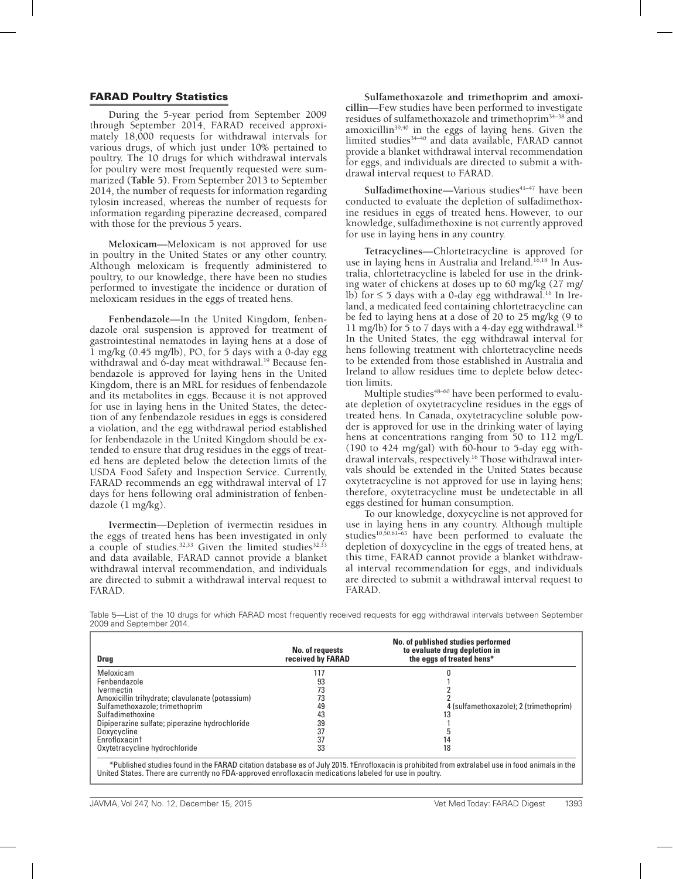#### FARAD Poultry Statistics

During the 5-year period from September 2009 through September 2014, FARAD received approximately 18,000 requests for withdrawal intervals for various drugs, of which just under 10% pertained to poultry. The 10 drugs for which withdrawal intervals for poultry were most frequently requested were summarized **(Table 5)**. From September 2013 to September 2014, the number of requests for information regarding tylosin increased, whereas the number of requests for information regarding piperazine decreased, compared with those for the previous 5 years.

**Meloxicam**—Meloxicam is not approved for use in poultry in the United States or any other country. Although meloxicam is frequently administered to poultry, to our knowledge, there have been no studies performed to investigate the incidence or duration of meloxicam residues in the eggs of treated hens.

**Fenbendazole**—In the United Kingdom, fenbendazole oral suspension is approved for treatment of gastrointestinal nematodes in laying hens at a dose of  $\overline{1}$  mg/kg (0.45 mg/lb), PO, for 5 days with a 0-day egg withdrawal and 6-day meat withdrawal.<sup>19</sup> Because fenbendazole is approved for laying hens in the United Kingdom, there is an MRL for residues of fenbendazole and its metabolites in eggs. Because it is not approved for use in laying hens in the United States, the detection of any fenbendazole residues in eggs is considered a violation, and the egg withdrawal period established for fenbendazole in the United Kingdom should be extended to ensure that drug residues in the eggs of treated hens are depleted below the detection limits of the USDA Food Safety and Inspection Service. Currently, FARAD recommends an egg withdrawal interval of 17 days for hens following oral administration of fenbendazole (1 mg/kg).

**Ivermectin**—Depletion of ivermectin residues in the eggs of treated hens has been investigated in only a couple of studies.<sup>32,33</sup> Given the limited studies<sup>32,33</sup> and data available, FARAD cannot provide a blanket withdrawal interval recommendation, and individuals are directed to submit a withdrawal interval request to FARAD.

**Sulfamethoxazole and trimethoprim and amoxicillin**—Few studies have been performed to investigate residues of sulfamethoxazole and trimethoprim34–38 and amoxicillin39,40 in the eggs of laying hens. Given the limited studies34–40 and data available, FARAD cannot provide a blanket withdrawal interval recommendation for eggs, and individuals are directed to submit a withdrawal interval request to FARAD.

Sulfadimethoxine—Various studies<sup>41-47</sup> have been conducted to evaluate the depletion of sulfadimethoxine residues in eggs of treated hens. However, to our knowledge, sulfadimethoxine is not currently approved for use in laying hens in any country.

**Tetracyclines**—Chlortetracycline is approved for use in laying hens in Australia and Ireland.<sup>16,18</sup> In Australia, chlortetracycline is labeled for use in the drinking water of chickens at doses up to 60 mg/kg (27 mg/ lb) for  $\leq$  5 days with a 0-day egg withdrawal.<sup>16</sup> In Ireland, a medicated feed containing chlortetracycline can be fed to laying hens at a dose of 20 to 25 mg/kg (9 to 11 mg/lb) for 5 to 7 days with a 4-day egg withdrawal.18 In the United States, the egg withdrawal interval for hens following treatment with chlortetracycline needs to be extended from those established in Australia and Ireland to allow residues time to deplete below detection limits.

Multiple studies<sup>48–60</sup> have been performed to evaluate depletion of oxytetracycline residues in the eggs of treated hens. In Canada, oxytetracycline soluble powder is approved for use in the drinking water of laying hens at concentrations ranging from 50 to 112 mg/L (190 to 424 mg/gal) with 60-hour to 5-day egg withdrawal intervals, respectively.16 Those withdrawal intervals should be extended in the United States because oxytetracycline is not approved for use in laying hens; therefore, oxytetracycline must be undetectable in all eggs destined for human consumption.

To our knowledge, doxycycline is not approved for use in laying hens in any country. Although multiple studies<sup>10,50,61–63</sup> have been performed to evaluate the depletion of doxycycline in the eggs of treated hens, at this time, FARAD cannot provide a blanket withdrawal interval recommendation for eggs, and individuals are directed to submit a withdrawal interval request to FARAD.

Table 5—List of the 10 drugs for which FARAD most frequently received requests for egg withdrawal intervals between September 2009 and September 2014.

| <b>Drug</b>                                     | No. of requests<br>received by FARAD | No. of published studies performed<br>to evaluate drug depletion in<br>the eqgs of treated hens* |
|-------------------------------------------------|--------------------------------------|--------------------------------------------------------------------------------------------------|
| Meloxicam                                       | 117                                  |                                                                                                  |
| Fenbendazole                                    | 93                                   |                                                                                                  |
| <i><u><b>Ivermectin</b></u></i>                 | 73                                   |                                                                                                  |
| Amoxicillin trihydrate; clavulanate (potassium) | 73                                   |                                                                                                  |
| Sulfamethoxazole; trimethoprim                  | 49                                   | 4 (sulfamethoxazole); 2 (trimethoprim)                                                           |
| Sulfadimethoxine                                | 43                                   |                                                                                                  |
| Dipiperazine sulfate; piperazine hydrochloride  | 39                                   |                                                                                                  |
| Doxycycline                                     | 37                                   |                                                                                                  |
| Enrofloxacint                                   | 37                                   | 14                                                                                               |
| Oxytetracycline hydrochloride                   | 33                                   | 18                                                                                               |

\*Published studies found in the FARAD citation database as of July 2015. †Enrofloxacin is prohibited from extralabel use in food animals in the United States. There are currently no FDA-approved enrofloxacin medications labeled for use in poultry.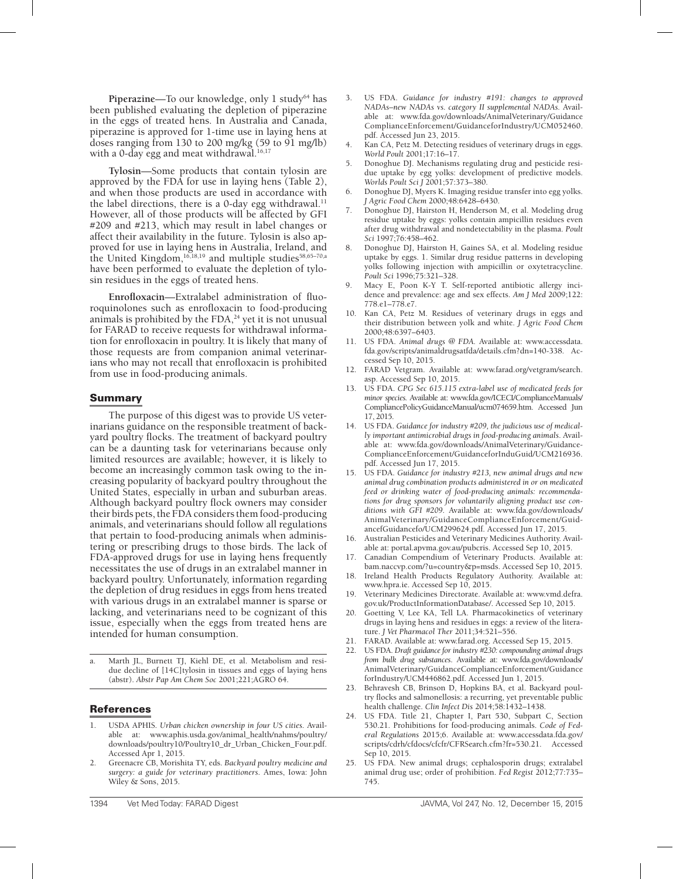**Piperazine—To our knowledge, only 1 study<sup>64</sup> has** been published evaluating the depletion of piperazine in the eggs of treated hens. In Australia and Canada, piperazine is approved for 1-time use in laying hens at doses ranging from 130 to 200 mg/kg (59 to 91 mg/lb) with a 0-day egg and meat withdrawal.<sup>16,17</sup>

**Tylosin**—Some products that contain tylosin are approved by the FDA for use in laying hens (Table 2), and when those products are used in accordance with the label directions, there is a 0-day egg withdrawal.<sup>11</sup> However, all of those products will be affected by GFI #209 and #213, which may result in label changes or affect their availability in the future. Tylosin is also approved for use in laying hens in Australia, Ireland, and the United Kingdom,<sup>16,18,19</sup> and multiple studies<sup>58,65-70,a</sup> have been performed to evaluate the depletion of tylosin residues in the eggs of treated hens.

**Enrofloxacin**—Extralabel administration of fluoroquinolones such as enrofloxacin to food-producing animals is prohibited by the FDA,<sup>24</sup> yet it is not unusual for FARAD to receive requests for withdrawal information for enrofloxacin in poultry. It is likely that many of those requests are from companion animal veterinarians who may not recall that enrofloxacin is prohibited from use in food-producing animals.

#### Summary

The purpose of this digest was to provide US veterinarians guidance on the responsible treatment of backyard poultry flocks. The treatment of backyard poultry can be a daunting task for veterinarians because only limited resources are available; however, it is likely to become an increasingly common task owing to the increasing popularity of backyard poultry throughout the United States, especially in urban and suburban areas. Although backyard poultry flock owners may consider their birds pets, the FDA considers them food-producing animals, and veterinarians should follow all regulations that pertain to food-producing animals when administering or prescribing drugs to those birds. The lack of FDA-approved drugs for use in laying hens frequently necessitates the use of drugs in an extralabel manner in backyard poultry. Unfortunately, information regarding the depletion of drug residues in eggs from hens treated with various drugs in an extralabel manner is sparse or lacking, and veterinarians need to be cognizant of this issue, especially when the eggs from treated hens are intended for human consumption.

a. Marth JL, Burnett TJ, Kiehl DE, et al. Metabolism and residue decline of [14C]tylosin in tissues and eggs of laying hens (abstr). *Abstr Pap Am Chem Soc* 2001;221;AGRO 64.

#### References

- 1. USDA APHIS. *Urban chicken ownership in four US cities.* Available at: www.aphis.usda.gov/animal\_health/nahms/poultry/ downloads/poultry10/Poultry10\_dr\_Urban\_Chicken\_Four.pdf. Accessed Apr 1, 2015.
- 2. Greenacre CB, Morishita TY, eds. *Backyard poultry medicine and surgery: a guide for veterinary practitioners*. Ames, Iowa: John Wiley & Sons, 2015.
- 3. US FDA. *Guidance for industry #191: changes to approved NADAs–new NADAs vs. category II supplemental NADAs.* Available at: www.fda.gov/downloads/AnimalVeterinary/Guidance ComplianceEnforcement/GuidanceforIndustry/UCM052460. pdf. Accessed Jun 23, 2015.
- Kan CA, Petz M. Detecting residues of veterinary drugs in eggs. *World Poult* 2001;17:16–17.
- 5. Donoghue DJ. Mechanisms regulating drug and pesticide residue uptake by egg yolks: development of predictive models. *Worlds Poult Sci J* 2001;57:373–380.
- 6. Donoghue DJ, Myers K. Imaging residue transfer into egg yolks. *J Agric Food Chem* 2000;48:6428–6430.
- 7. Donoghue DJ, Hairston H, Henderson M, et al. Modeling drug residue uptake by eggs: yolks contain ampicillin residues even after drug withdrawal and nondetectability in the plasma. *Poult Sci* 1997;76:458–462.
- 8. Donoghue DJ, Hairston H, Gaines SA, et al. Modeling residue uptake by eggs. 1. Similar drug residue patterns in developing yolks following injection with ampicillin or oxytetracycline. *Poult Sci* 1996;75:321–328.
- Macy E, Poon K-Y T. Self-reported antibiotic allergy incidence and prevalence: age and sex effects. *Am J Med* 2009;122: 778.e1–778.e7.
- 10. Kan CA, Petz M. Residues of veterinary drugs in eggs and their distribution between yolk and white. *J Agric Food Chem* 2000;48:6397–6403.
- 11. US FDA. *Animal drugs @ FDA.* Available at: www.accessdata. fda.gov/scripts/animaldrugsatfda/details.cfm?dn=140-338. Accessed Sep 10, 2015.
- 12. FARAD Vetgram. Available at: www.farad.org/vetgram/search. asp. Accessed Sep 10, 2015.
- 13. US FDA. *CPG Sec 615.115 extra-label use of medicated feeds for minor species.* Available at: www.fda.gov/ICECI/ComplianceManuals/ CompliancePolicyGuidanceManual/ucm074659.htm. Accessed Jun 17, 2015.
- 14. US FDA. *Guidance for industry #209, the judicious use of medically important antimicrobial drugs in food-producing animals*. Available at: www.fda.gov/downloads/AnimalVeterinary/Guidance-ComplianceEnforcement/GuidanceforInduGuid/UCM216936. pdf. Accessed Jun 17, 2015.
- 15. US FDA. *Guidance for industry #213, new animal drugs and new animal drug combination products administered in or on medicated feed or drinking water of food-producing animals: recommendations for drug sponsors for voluntarily aligning product use conditions with GFI #209*. Available at: www.fda.gov/downloads/ AnimalVeterinary/GuidanceComplianceEnforcement/GuidancefGuidancefo/UCM299624.pdf. Accessed Jun 17, 2015.
- 16. Australian Pesticides and Veterinary Medicines Authority. Available at: portal.apvma.gov.au/pubcris. Accessed Sep 10, 2015.
- 17. Canadian Compendium of Veterinary Products. Available at: bam.naccvp.com/?u=country&p=msds. Accessed Sep 10, 2015.
- 18. Ireland Health Products Regulatory Authority. Available at: www.hpra.ie. Accessed Sep 10, 2015.
- 19. Veterinary Medicines Directorate. Available at: www.vmd.defra. gov.uk/ProductInformationDatabase/. Accessed Sep 10, 2015.
- 20. Goetting V, Lee KA, Tell LA. Pharmacokinetics of veterinary drugs in laying hens and residues in eggs: a review of the literature. *J Vet Pharmacol Ther* 2011;34:521–556.
- 21. FARAD. Available at: www.farad.org. Accessed Sep 15, 2015.
- 22. US FDA. *Draft guidance for industry #230: compounding animal drugs from bulk drug substances*. Available at: www.fda.gov/downloads/ AnimalVeterinary/GuidanceComplianceEnforcement/Guidance forIndustry/UCM446862.pdf. Accessed Jun 1, 2015.
- 23. Behravesh CB, Brinson D, Hopkins BA, et al. Backyard poultry flocks and salmonellosis: a recurring, yet preventable public health challenge. *Clin Infect Dis* 2014;58:1432–1438.
- US FDA. Title 21, Chapter I, Part 530, Subpart C, Section 530.21. Prohibitions for food-producing animals. *Code of Federal Regulations* 2015;6. Available at: www.accessdata.fda.gov/ scripts/cdrh/cfdocs/cfcfr/CFRSearch.cfm?fr=530.21. Accessed Sep 10, 2015.
- US FDA. New animal drugs; cephalosporin drugs; extralabel animal drug use; order of prohibition. *Fed Regist* 2012;77:735– 745.